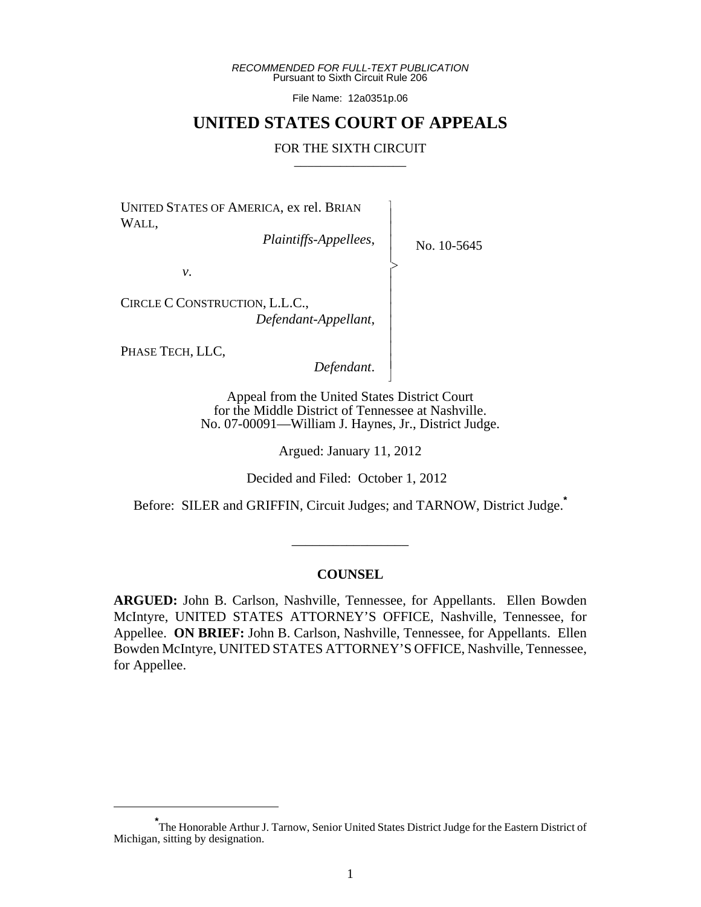*RECOMMENDED FOR FULL-TEXT PUBLICATION* Pursuant to Sixth Circuit Rule 206

File Name: 12a0351p.06

## **UNITED STATES COURT OF APPEALS**

#### FOR THE SIXTH CIRCUIT

 $\overline{\phantom{a}}$ - - - > , - - - - - - - N

UNITED STATES OF AMERICA, ex rel. BRIAN WALL,

*Plaintiffs-Appellees*,

No. 10-5645

*v*.

CIRCLE C CONSTRUCTION, L.L.C., *Defendant-Appellant*,

PHASE TECH, LLC,

*Defendant*.

Appeal from the United States District Court for the Middle District of Tennessee at Nashville. No. 07-00091—William J. Haynes, Jr., District Judge.

Argued: January 11, 2012

Decided and Filed: October 1, 2012

Before: SILER and GRIFFIN, Circuit Judges; and TARNOW, District Judge.**\***

\_\_\_\_\_\_\_\_\_\_\_\_\_\_\_\_\_

## **COUNSEL**

**ARGUED:** John B. Carlson, Nashville, Tennessee, for Appellants. Ellen Bowden McIntyre, UNITED STATES ATTORNEY'S OFFICE, Nashville, Tennessee, for Appellee. **ON BRIEF:** John B. Carlson, Nashville, Tennessee, for Appellants. Ellen Bowden McIntyre, UNITED STATES ATTORNEY'S OFFICE, Nashville, Tennessee, for Appellee.

**<sup>\*</sup>** The Honorable Arthur J. Tarnow, Senior United States District Judge for the Eastern District of Michigan, sitting by designation.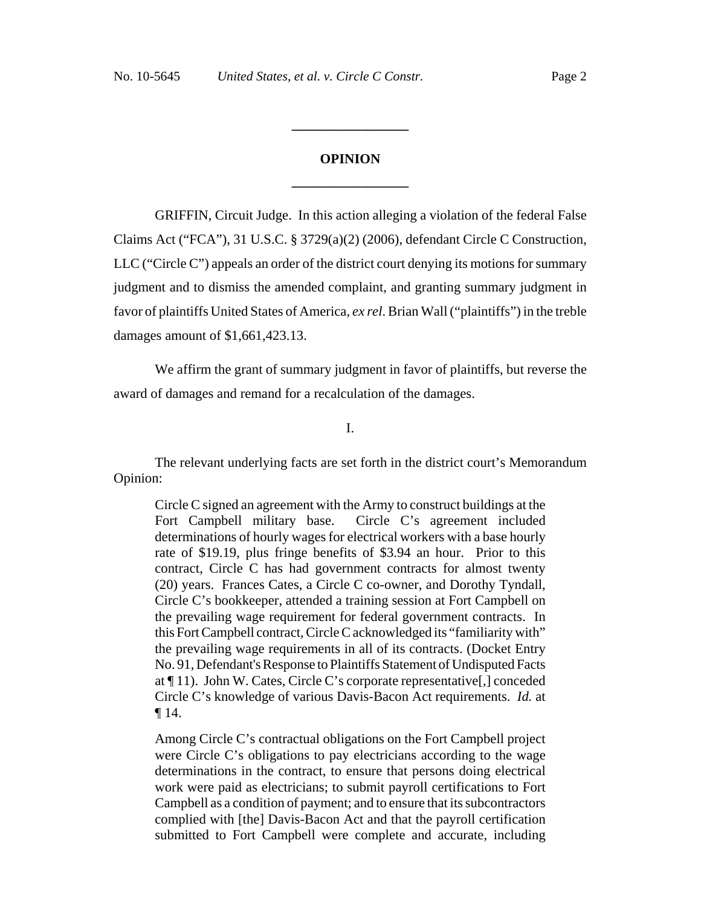# **OPINION \_\_\_\_\_\_\_\_\_\_\_\_\_\_\_\_\_**

**\_\_\_\_\_\_\_\_\_\_\_\_\_\_\_\_\_**

GRIFFIN, Circuit Judge. In this action alleging a violation of the federal False Claims Act ("FCA"), 31 U.S.C. § 3729(a)(2) (2006), defendant Circle C Construction, LLC ("Circle C") appeals an order of the district court denying its motions for summary judgment and to dismiss the amended complaint, and granting summary judgment in favor of plaintiffs United States of America, *ex rel*. Brian Wall ("plaintiffs") in the treble damages amount of \$1,661,423.13.

We affirm the grant of summary judgment in favor of plaintiffs, but reverse the award of damages and remand for a recalculation of the damages.

## I.

The relevant underlying facts are set forth in the district court's Memorandum Opinion:

Circle C signed an agreement with the Army to construct buildings at the Fort Campbell military base. Circle C's agreement included determinations of hourly wages for electrical workers with a base hourly rate of \$19.19, plus fringe benefits of \$3.94 an hour. Prior to this contract, Circle C has had government contracts for almost twenty (20) years. Frances Cates, a Circle C co-owner, and Dorothy Tyndall, Circle C's bookkeeper, attended a training session at Fort Campbell on the prevailing wage requirement for federal government contracts. In this Fort Campbell contract, Circle C acknowledged its "familiarity with" the prevailing wage requirements in all of its contracts. (Docket Entry No. 91, Defendant's Response to Plaintiffs Statement of Undisputed Facts at ¶ 11). John W. Cates, Circle C's corporate representative[,] conceded Circle C's knowledge of various Davis-Bacon Act requirements. *Id.* at ¶ 14.

Among Circle C's contractual obligations on the Fort Campbell project were Circle C's obligations to pay electricians according to the wage determinations in the contract, to ensure that persons doing electrical work were paid as electricians; to submit payroll certifications to Fort Campbell as a condition of payment; and to ensure that its subcontractors complied with [the] Davis-Bacon Act and that the payroll certification submitted to Fort Campbell were complete and accurate, including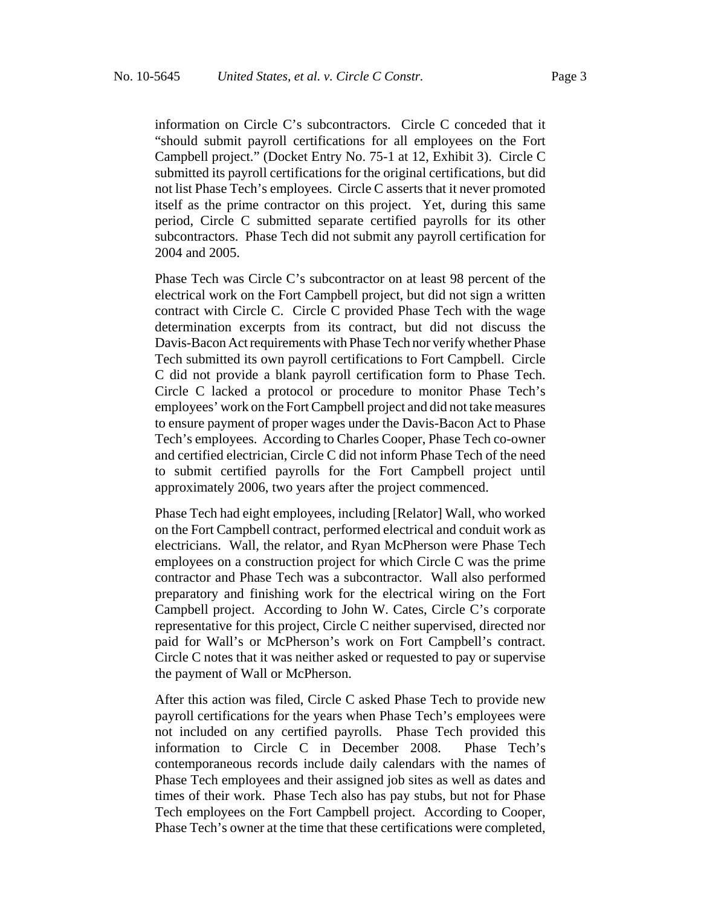information on Circle C's subcontractors. Circle C conceded that it "should submit payroll certifications for all employees on the Fort Campbell project." (Docket Entry No. 75-1 at 12, Exhibit 3). Circle C submitted its payroll certifications for the original certifications, but did not list Phase Tech's employees. Circle C asserts that it never promoted itself as the prime contractor on this project. Yet, during this same period, Circle C submitted separate certified payrolls for its other subcontractors. Phase Tech did not submit any payroll certification for 2004 and 2005.

Phase Tech was Circle C's subcontractor on at least 98 percent of the electrical work on the Fort Campbell project, but did not sign a written contract with Circle C. Circle C provided Phase Tech with the wage determination excerpts from its contract, but did not discuss the Davis-Bacon Act requirements with Phase Tech nor verify whether Phase Tech submitted its own payroll certifications to Fort Campbell. Circle C did not provide a blank payroll certification form to Phase Tech. Circle C lacked a protocol or procedure to monitor Phase Tech's employees' work on the Fort Campbell project and did not take measures to ensure payment of proper wages under the Davis-Bacon Act to Phase Tech's employees. According to Charles Cooper, Phase Tech co-owner and certified electrician, Circle C did not inform Phase Tech of the need to submit certified payrolls for the Fort Campbell project until approximately 2006, two years after the project commenced.

Phase Tech had eight employees, including [Relator] Wall, who worked on the Fort Campbell contract, performed electrical and conduit work as electricians. Wall, the relator, and Ryan McPherson were Phase Tech employees on a construction project for which Circle C was the prime contractor and Phase Tech was a subcontractor. Wall also performed preparatory and finishing work for the electrical wiring on the Fort Campbell project. According to John W. Cates, Circle C's corporate representative for this project, Circle C neither supervised, directed nor paid for Wall's or McPherson's work on Fort Campbell's contract. Circle C notes that it was neither asked or requested to pay or supervise the payment of Wall or McPherson.

After this action was filed, Circle C asked Phase Tech to provide new payroll certifications for the years when Phase Tech's employees were not included on any certified payrolls. Phase Tech provided this information to Circle C in December 2008. Phase Tech's contemporaneous records include daily calendars with the names of Phase Tech employees and their assigned job sites as well as dates and times of their work. Phase Tech also has pay stubs, but not for Phase Tech employees on the Fort Campbell project. According to Cooper, Phase Tech's owner at the time that these certifications were completed,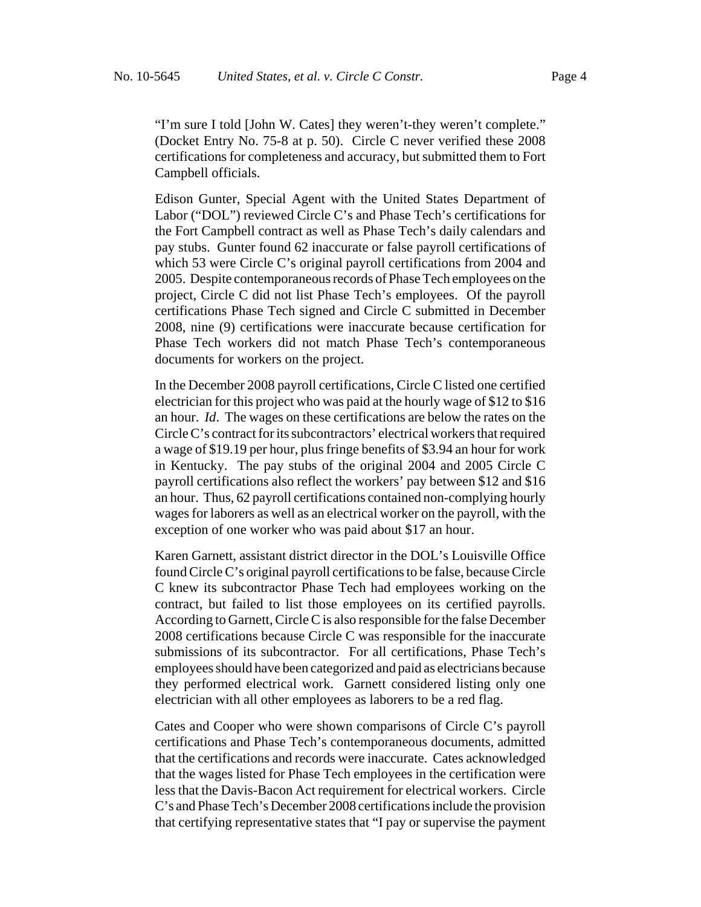"I'm sure I told [John W. Cates] they weren't-they weren't complete." (Docket Entry No. 75-8 at p. 50). Circle C never verified these 2008 certifications for completeness and accuracy, but submitted them to Fort Campbell officials.

Edison Gunter, Special Agent with the United States Department of Labor ("DOL") reviewed Circle C's and Phase Tech's certifications for the Fort Campbell contract as well as Phase Tech's daily calendars and pay stubs. Gunter found 62 inaccurate or false payroll certifications of which 53 were Circle C's original payroll certifications from 2004 and 2005. Despite contemporaneous records of Phase Tech employees on the project, Circle C did not list Phase Tech's employees. Of the payroll certifications Phase Tech signed and Circle C submitted in December 2008, nine (9) certifications were inaccurate because certification for Phase Tech workers did not match Phase Tech's contemporaneous documents for workers on the project.

In the December 2008 payroll certifications, Circle C listed one certified electrician for this project who was paid at the hourly wage of \$12 to \$16 an hour. *Id*. The wages on these certifications are below the rates on the Circle C's contract for its subcontractors' electrical workers that required a wage of \$19.19 per hour, plus fringe benefits of \$3.94 an hour for work in Kentucky. The pay stubs of the original 2004 and 2005 Circle C payroll certifications also reflect the workers' pay between \$12 and \$16 an hour. Thus, 62 payroll certifications contained non-complying hourly wages for laborers as well as an electrical worker on the payroll, with the exception of one worker who was paid about \$17 an hour.

Karen Garnett, assistant district director in the DOL's Louisville Office found Circle C's original payroll certifications to be false, because Circle C knew its subcontractor Phase Tech had employees working on the contract, but failed to list those employees on its certified payrolls. According to Garnett, Circle C is also responsible for the false December 2008 certifications because Circle C was responsible for the inaccurate submissions of its subcontractor. For all certifications, Phase Tech's employees should have been categorized and paid as electricians because they performed electrical work. Garnett considered listing only one electrician with all other employees as laborers to be a red flag.

Cates and Cooper who were shown comparisons of Circle C's payroll certifications and Phase Tech's contemporaneous documents, admitted that the certifications and records were inaccurate. Cates acknowledged that the wages listed for Phase Tech employees in the certification were less that the Davis-Bacon Act requirement for electrical workers. Circle C's and Phase Tech's December 2008 certifications include the provision that certifying representative states that "I pay or supervise the payment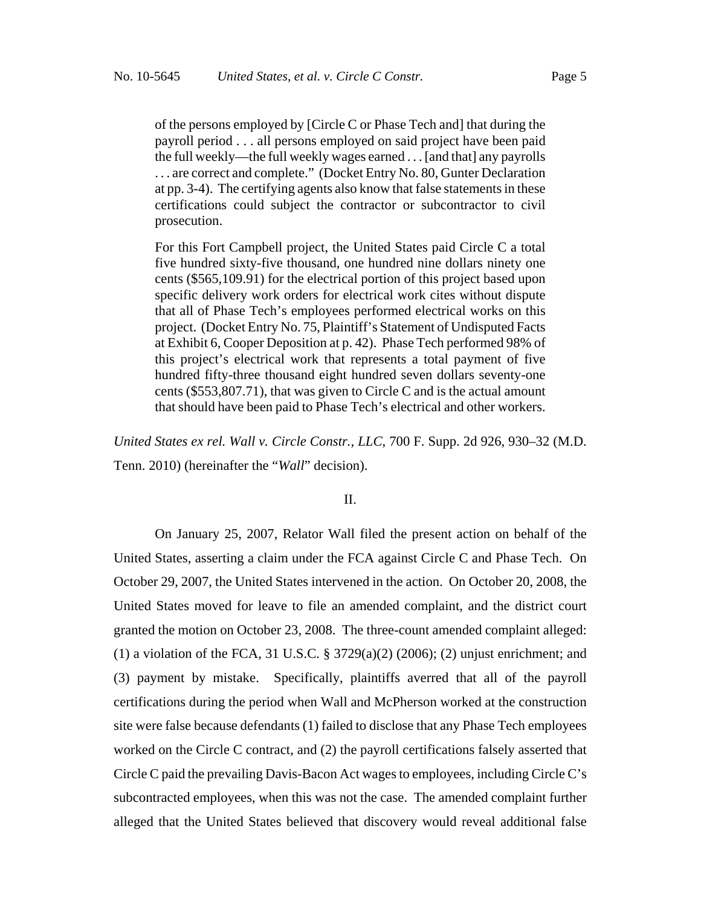of the persons employed by [Circle C or Phase Tech and] that during the payroll period . . . all persons employed on said project have been paid the full weekly—the full weekly wages earned . . . [and that] any payrolls . . . are correct and complete." (Docket Entry No. 80, Gunter Declaration at pp. 3-4). The certifying agents also know that false statements in these certifications could subject the contractor or subcontractor to civil prosecution.

For this Fort Campbell project, the United States paid Circle C a total five hundred sixty-five thousand, one hundred nine dollars ninety one cents (\$565,109.91) for the electrical portion of this project based upon specific delivery work orders for electrical work cites without dispute that all of Phase Tech's employees performed electrical works on this project. (Docket Entry No. 75, Plaintiff's Statement of Undisputed Facts at Exhibit 6, Cooper Deposition at p. 42). Phase Tech performed 98% of this project's electrical work that represents a total payment of five hundred fifty-three thousand eight hundred seven dollars seventy-one cents (\$553,807.71), that was given to Circle C and is the actual amount that should have been paid to Phase Tech's electrical and other workers.

*United States ex rel. Wall v. Circle Constr., LLC*, 700 F. Supp. 2d 926, 930–32 (M.D. Tenn. 2010) (hereinafter the "*Wall*" decision).

## II.

On January 25, 2007, Relator Wall filed the present action on behalf of the United States, asserting a claim under the FCA against Circle C and Phase Tech. On October 29, 2007, the United States intervened in the action. On October 20, 2008, the United States moved for leave to file an amended complaint, and the district court granted the motion on October 23, 2008. The three-count amended complaint alleged: (1) a violation of the FCA, 31 U.S.C. § 3729(a)(2) (2006); (2) unjust enrichment; and (3) payment by mistake. Specifically, plaintiffs averred that all of the payroll certifications during the period when Wall and McPherson worked at the construction site were false because defendants (1) failed to disclose that any Phase Tech employees worked on the Circle C contract, and (2) the payroll certifications falsely asserted that Circle C paid the prevailing Davis-Bacon Act wages to employees, including Circle C's subcontracted employees, when this was not the case. The amended complaint further alleged that the United States believed that discovery would reveal additional false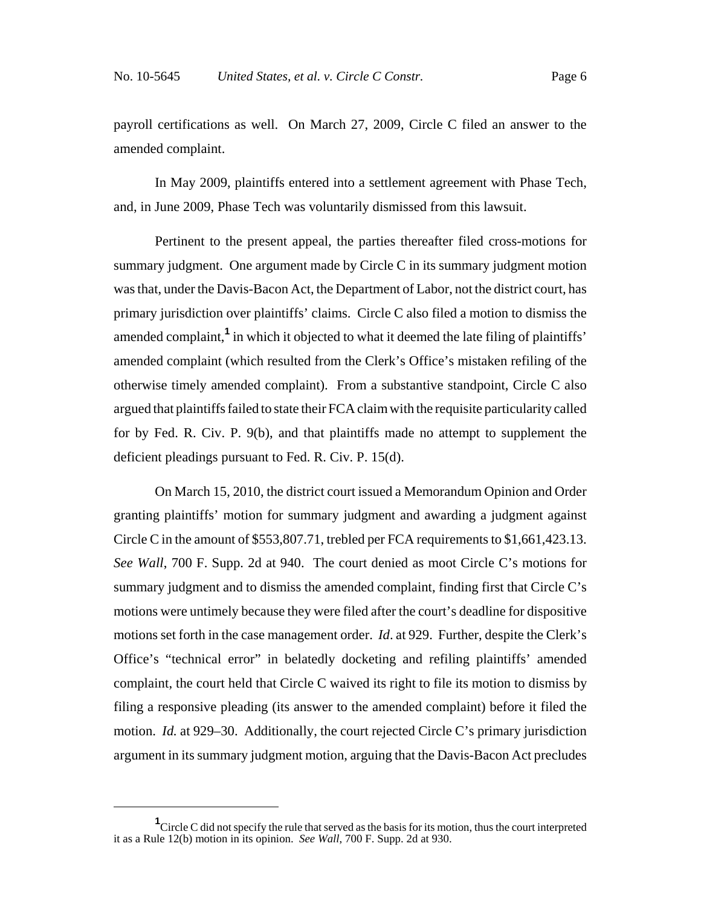payroll certifications as well. On March 27, 2009, Circle C filed an answer to the amended complaint.

In May 2009, plaintiffs entered into a settlement agreement with Phase Tech, and, in June 2009, Phase Tech was voluntarily dismissed from this lawsuit.

Pertinent to the present appeal, the parties thereafter filed cross-motions for summary judgment. One argument made by Circle C in its summary judgment motion was that, under the Davis-Bacon Act, the Department of Labor, not the district court, has primary jurisdiction over plaintiffs' claims. Circle C also filed a motion to dismiss the amended complaint,**<sup>1</sup>** in which it objected to what it deemed the late filing of plaintiffs' amended complaint (which resulted from the Clerk's Office's mistaken refiling of the otherwise timely amended complaint). From a substantive standpoint, Circle C also argued that plaintiffs failed to state their FCA claim with the requisite particularity called for by Fed. R. Civ. P. 9(b), and that plaintiffs made no attempt to supplement the deficient pleadings pursuant to Fed. R. Civ. P. 15(d).

On March 15, 2010, the district court issued a Memorandum Opinion and Order granting plaintiffs' motion for summary judgment and awarding a judgment against Circle C in the amount of \$553,807.71, trebled per FCA requirements to \$1,661,423.13. *See Wall*, 700 F. Supp. 2d at 940. The court denied as moot Circle C's motions for summary judgment and to dismiss the amended complaint, finding first that Circle C's motions were untimely because they were filed after the court's deadline for dispositive motions set forth in the case management order. *Id*. at 929. Further, despite the Clerk's Office's "technical error" in belatedly docketing and refiling plaintiffs' amended complaint, the court held that Circle C waived its right to file its motion to dismiss by filing a responsive pleading (its answer to the amended complaint) before it filed the motion. *Id.* at 929–30. Additionally, the court rejected Circle C's primary jurisdiction argument in its summary judgment motion, arguing that the Davis-Bacon Act precludes

<sup>&</sup>lt;sup>1</sup>Circle C did not specify the rule that served as the basis for its motion, thus the court interpreted it as a Rule 12(b) motion in its opinion. *See Wall*, 700 F. Supp. 2d at 930.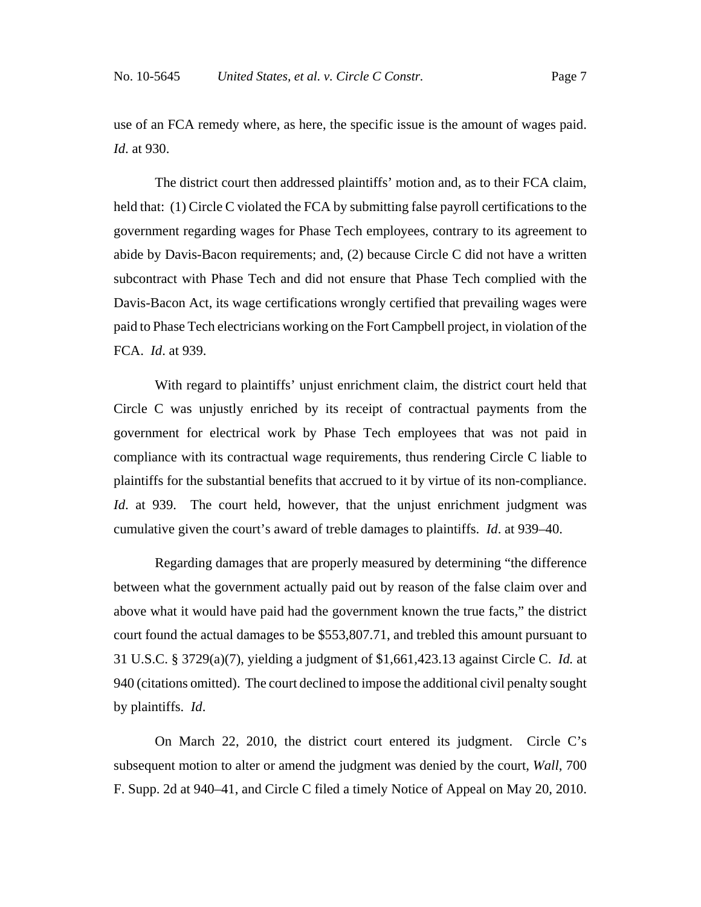use of an FCA remedy where, as here, the specific issue is the amount of wages paid. *Id*. at 930.

The district court then addressed plaintiffs' motion and, as to their FCA claim, held that: (1) Circle C violated the FCA by submitting false payroll certifications to the government regarding wages for Phase Tech employees, contrary to its agreement to abide by Davis-Bacon requirements; and, (2) because Circle C did not have a written subcontract with Phase Tech and did not ensure that Phase Tech complied with the Davis-Bacon Act, its wage certifications wrongly certified that prevailing wages were paid to Phase Tech electricians working on the Fort Campbell project, in violation of the FCA. *Id*. at 939.

With regard to plaintiffs' unjust enrichment claim, the district court held that Circle C was unjustly enriched by its receipt of contractual payments from the government for electrical work by Phase Tech employees that was not paid in compliance with its contractual wage requirements, thus rendering Circle C liable to plaintiffs for the substantial benefits that accrued to it by virtue of its non-compliance. *Id.* at 939. The court held, however, that the unjust enrichment judgment was cumulative given the court's award of treble damages to plaintiffs. *Id*. at 939–40.

Regarding damages that are properly measured by determining "the difference between what the government actually paid out by reason of the false claim over and above what it would have paid had the government known the true facts," the district court found the actual damages to be \$553,807.71, and trebled this amount pursuant to 31 U.S.C. § 3729(a)(7), yielding a judgment of \$1,661,423.13 against Circle C. *Id.* at 940 (citations omitted). The court declined to impose the additional civil penalty sought by plaintiffs. *Id*.

On March 22, 2010, the district court entered its judgment. Circle C's subsequent motion to alter or amend the judgment was denied by the court, *Wall*, 700 F. Supp. 2d at 940–41, and Circle C filed a timely Notice of Appeal on May 20, 2010.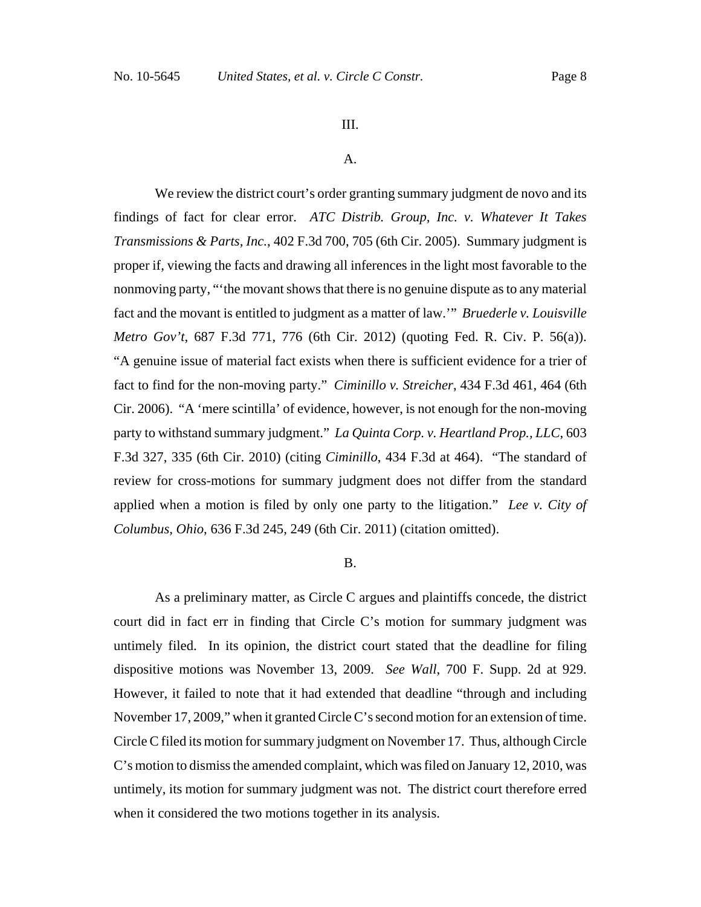#### III.

#### A.

We review the district court's order granting summary judgment de novo and its findings of fact for clear error. *ATC Distrib. Group, Inc. v. Whatever It Takes Transmissions & Parts, Inc.*, 402 F.3d 700, 705 (6th Cir. 2005). Summary judgment is proper if, viewing the facts and drawing all inferences in the light most favorable to the nonmoving party, "'the movant shows that there is no genuine dispute as to any material fact and the movant is entitled to judgment as a matter of law.'" *Bruederle v. Louisville Metro Gov't*, 687 F.3d 771, 776 (6th Cir. 2012) (quoting Fed. R. Civ. P. 56(a)). "A genuine issue of material fact exists when there is sufficient evidence for a trier of fact to find for the non-moving party." *Ciminillo v. Streicher*, 434 F.3d 461, 464 (6th Cir. 2006). "A 'mere scintilla' of evidence, however, is not enough for the non-moving party to withstand summary judgment." *La Quinta Corp. v. Heartland Prop., LLC*, 603 F.3d 327, 335 (6th Cir. 2010) (citing *Ciminillo*, 434 F.3d at 464). "The standard of review for cross-motions for summary judgment does not differ from the standard applied when a motion is filed by only one party to the litigation." *Lee v. City of Columbus, Ohio*, 636 F.3d 245, 249 (6th Cir. 2011) (citation omitted).

## B.

As a preliminary matter, as Circle C argues and plaintiffs concede, the district court did in fact err in finding that Circle C's motion for summary judgment was untimely filed. In its opinion, the district court stated that the deadline for filing dispositive motions was November 13, 2009. *See Wall*, 700 F. Supp. 2d at 929. However, it failed to note that it had extended that deadline "through and including November 17, 2009," when it granted Circle C's second motion for an extension of time. Circle C filed its motion for summary judgment on November 17. Thus, although Circle C's motion to dismiss the amended complaint, which was filed on January 12, 2010, was untimely, its motion for summary judgment was not. The district court therefore erred when it considered the two motions together in its analysis.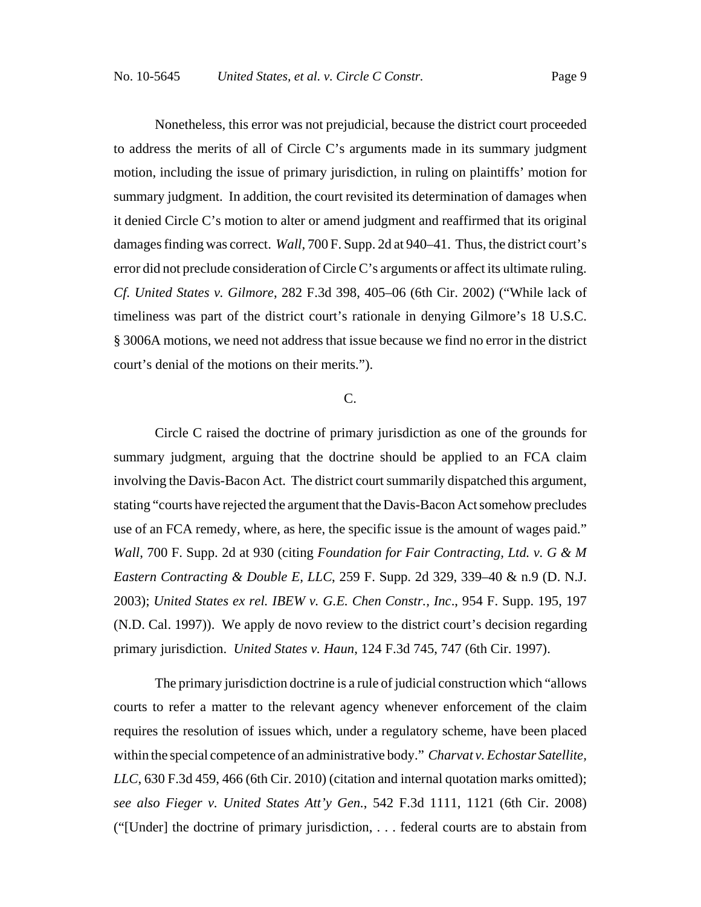Nonetheless, this error was not prejudicial, because the district court proceeded to address the merits of all of Circle C's arguments made in its summary judgment motion, including the issue of primary jurisdiction, in ruling on plaintiffs' motion for summary judgment. In addition, the court revisited its determination of damages when it denied Circle C's motion to alter or amend judgment and reaffirmed that its original damages finding was correct. *Wall*, 700 F. Supp. 2d at 940–41. Thus, the district court's error did not preclude consideration of Circle C's arguments or affect its ultimate ruling. *Cf. United States v. Gilmore*, 282 F.3d 398, 405–06 (6th Cir. 2002) ("While lack of timeliness was part of the district court's rationale in denying Gilmore's 18 U.S.C. § 3006A motions, we need not address that issue because we find no error in the district court's denial of the motions on their merits.").

## C.

Circle C raised the doctrine of primary jurisdiction as one of the grounds for summary judgment, arguing that the doctrine should be applied to an FCA claim involving the Davis-Bacon Act. The district court summarily dispatched this argument, stating "courts have rejected the argument that the Davis-Bacon Act somehow precludes use of an FCA remedy, where, as here, the specific issue is the amount of wages paid." *Wall*, 700 F. Supp. 2d at 930 (citing *Foundation for Fair Contracting, Ltd. v. G & M Eastern Contracting & Double E, LLC*, 259 F. Supp. 2d 329, 339–40 & n.9 (D. N.J. 2003); *United States ex rel. IBEW v. G.E. Chen Constr., Inc*., 954 F. Supp. 195, 197 (N.D. Cal. 1997)). We apply de novo review to the district court's decision regarding primary jurisdiction. *United States v. Haun*, 124 F.3d 745, 747 (6th Cir. 1997).

The primary jurisdiction doctrine is a rule of judicial construction which "allows courts to refer a matter to the relevant agency whenever enforcement of the claim requires the resolution of issues which, under a regulatory scheme, have been placed within the special competence of an administrative body." *Charvat v. Echostar Satellite, LLC*, 630 F.3d 459, 466 (6th Cir. 2010) (citation and internal quotation marks omitted); *see also Fieger v. United States Att'y Gen.*, 542 F.3d 1111, 1121 (6th Cir. 2008) ("[Under] the doctrine of primary jurisdiction, . . . federal courts are to abstain from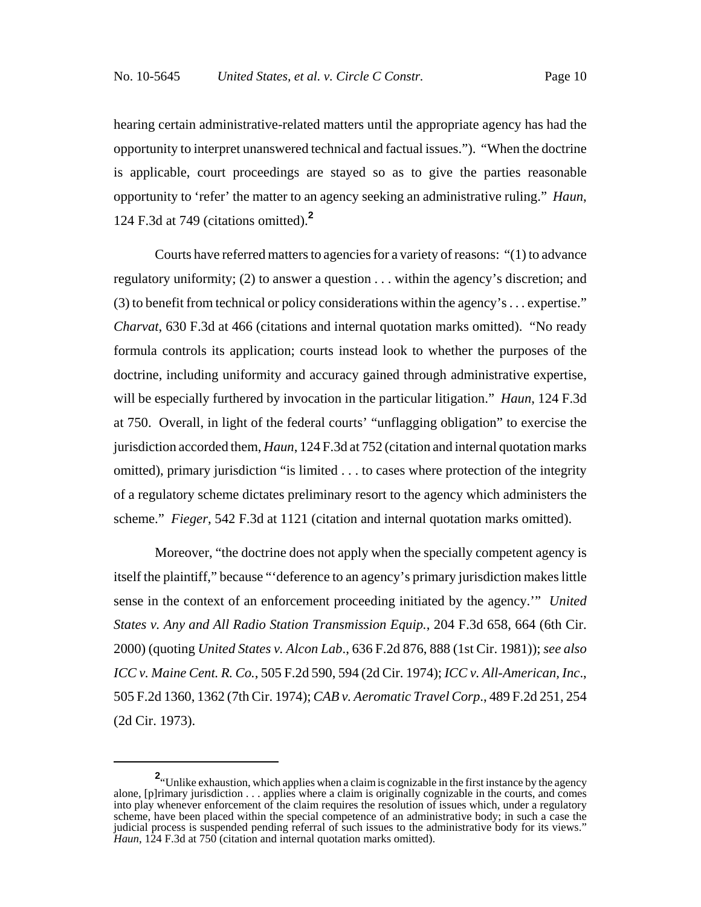hearing certain administrative-related matters until the appropriate agency has had the opportunity to interpret unanswered technical and factual issues."). "When the doctrine is applicable, court proceedings are stayed so as to give the parties reasonable opportunity to 'refer' the matter to an agency seeking an administrative ruling." *Haun*, 124 F.3d at 749 (citations omitted).**<sup>2</sup>**

Courts have referred matters to agencies for a variety of reasons: "(1) to advance regulatory uniformity; (2) to answer a question . . . within the agency's discretion; and (3) to benefit from technical or policy considerations within the agency's . . . expertise." *Charvat*, 630 F.3d at 466 (citations and internal quotation marks omitted). "No ready formula controls its application; courts instead look to whether the purposes of the doctrine, including uniformity and accuracy gained through administrative expertise, will be especially furthered by invocation in the particular litigation." *Haun*, 124 F.3d at 750. Overall, in light of the federal courts' "unflagging obligation" to exercise the jurisdiction accorded them, *Haun*, 124 F.3d at 752 (citation and internal quotation marks omitted), primary jurisdiction "is limited . . . to cases where protection of the integrity of a regulatory scheme dictates preliminary resort to the agency which administers the scheme." *Fieger*, 542 F.3d at 1121 (citation and internal quotation marks omitted).

Moreover, "the doctrine does not apply when the specially competent agency is itself the plaintiff," because "'deference to an agency's primary jurisdiction makes little sense in the context of an enforcement proceeding initiated by the agency.'" *United States v. Any and All Radio Station Transmission Equip.*, 204 F.3d 658, 664 (6th Cir. 2000) (quoting *United States v. Alcon Lab*., 636 F.2d 876, 888 (1st Cir. 1981)); *see also ICC v. Maine Cent. R. Co.*, 505 F.2d 590, 594 (2d Cir. 1974); *ICC v. All-American, Inc*., 505 F.2d 1360, 1362 (7th Cir. 1974); *CAB v. Aeromatic Travel Corp*., 489 F.2d 251, 254 (2d Cir. 1973).

**<sup>2</sup>**. Unlike exhaustion, which applies when a claim is cognizable in the first instance by the agency alone, [p]rimary jurisdiction . . . applies where a claim is originally cognizable in the courts, and comes into play whenever enforcement of the claim requires the resolution of issues which, under a regulatory scheme, have been placed within the special competence of an administrative body; in such a case the judicial process is suspended pending referral of such issues to the administrative body for its views." *Haun*, 124 F.3d at 750 (citation and internal quotation marks omitted).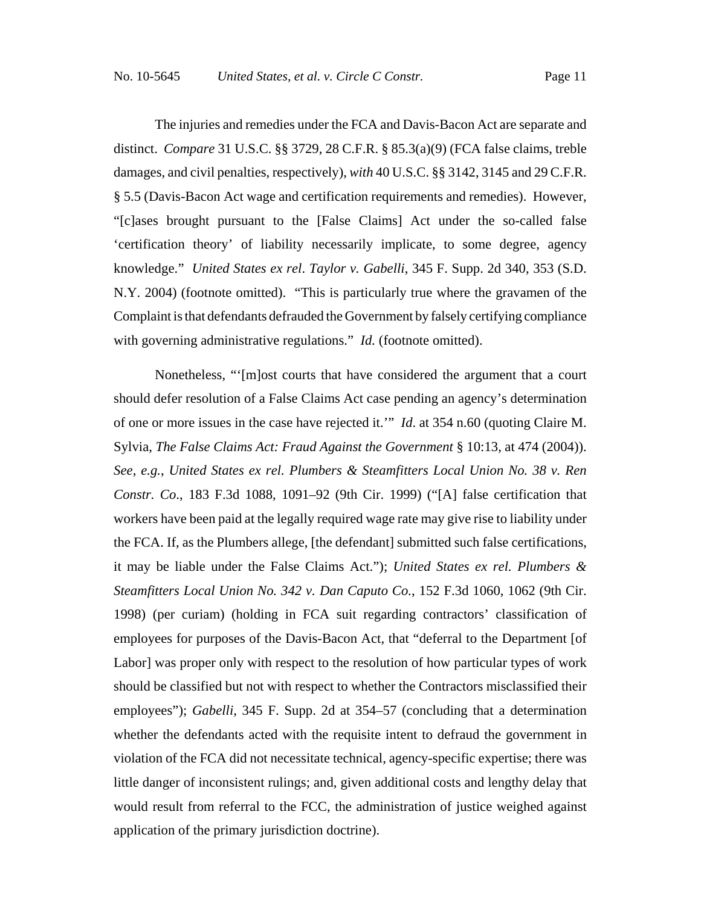The injuries and remedies under the FCA and Davis-Bacon Act are separate and distinct. *Compare* 31 U.S.C. §§ 3729, 28 C.F.R. § 85.3(a)(9) (FCA false claims, treble damages, and civil penalties, respectively), *with* 40 U.S.C. §§ 3142, 3145 and 29 C.F.R. § 5.5 (Davis-Bacon Act wage and certification requirements and remedies). However, "[c]ases brought pursuant to the [False Claims] Act under the so-called false 'certification theory' of liability necessarily implicate, to some degree, agency knowledge." *United States ex rel*. *Taylor v. Gabelli*, 345 F. Supp. 2d 340, 353 (S.D. N.Y. 2004) (footnote omitted). "This is particularly true where the gravamen of the Complaint is that defendants defrauded the Government by falsely certifying compliance with governing administrative regulations." *Id.* (footnote omitted).

Nonetheless, "'[m]ost courts that have considered the argument that a court should defer resolution of a False Claims Act case pending an agency's determination of one or more issues in the case have rejected it.'" *Id*. at 354 n.60 (quoting Claire M. Sylvia, *The False Claims Act: Fraud Against the Government* § 10:13, at 474 (2004)). *See*, *e.g.*, *United States ex rel. Plumbers & Steamfitters Local Union No. 38 v. Ren Constr. Co*., 183 F.3d 1088, 1091–92 (9th Cir. 1999) ("[A] false certification that workers have been paid at the legally required wage rate may give rise to liability under the FCA. If, as the Plumbers allege, [the defendant] submitted such false certifications, it may be liable under the False Claims Act."); *United States ex rel. Plumbers & Steamfitters Local Union No. 342 v. Dan Caputo Co.*, 152 F.3d 1060, 1062 (9th Cir. 1998) (per curiam) (holding in FCA suit regarding contractors' classification of employees for purposes of the Davis-Bacon Act, that "deferral to the Department [of Labor] was proper only with respect to the resolution of how particular types of work should be classified but not with respect to whether the Contractors misclassified their employees"); *Gabelli*, 345 F. Supp. 2d at 354–57 (concluding that a determination whether the defendants acted with the requisite intent to defraud the government in violation of the FCA did not necessitate technical, agency-specific expertise; there was little danger of inconsistent rulings; and, given additional costs and lengthy delay that would result from referral to the FCC, the administration of justice weighed against application of the primary jurisdiction doctrine).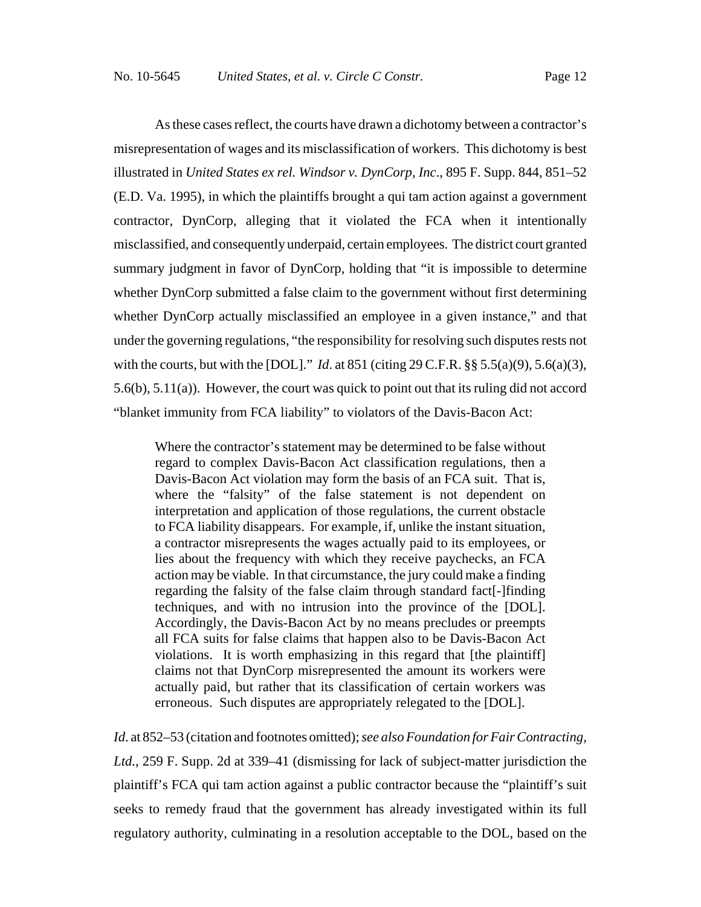As these cases reflect, the courts have drawn a dichotomy between a contractor's misrepresentation of wages and its misclassification of workers. This dichotomy is best illustrated in *United States ex rel. Windsor v. DynCorp, Inc*., 895 F. Supp. 844, 851–52 (E.D. Va. 1995), in which the plaintiffs brought a qui tam action against a government contractor, DynCorp, alleging that it violated the FCA when it intentionally misclassified, and consequently underpaid, certain employees. The district court granted summary judgment in favor of DynCorp, holding that "it is impossible to determine whether DynCorp submitted a false claim to the government without first determining whether DynCorp actually misclassified an employee in a given instance," and that under the governing regulations, "the responsibility for resolving such disputes rests not with the courts, but with the [DOL]." *Id*. at 851 (citing 29 C.F.R. §§ 5.5(a)(9), 5.6(a)(3), 5.6(b), 5.11(a)). However, the court was quick to point out that its ruling did not accord "blanket immunity from FCA liability" to violators of the Davis-Bacon Act:

Where the contractor's statement may be determined to be false without regard to complex Davis-Bacon Act classification regulations, then a Davis-Bacon Act violation may form the basis of an FCA suit. That is, where the "falsity" of the false statement is not dependent on interpretation and application of those regulations, the current obstacle to FCA liability disappears. For example, if, unlike the instant situation, a contractor misrepresents the wages actually paid to its employees, or lies about the frequency with which they receive paychecks, an FCA action may be viable. In that circumstance, the jury could make a finding regarding the falsity of the false claim through standard fact[-]finding techniques, and with no intrusion into the province of the [DOL]. Accordingly, the Davis-Bacon Act by no means precludes or preempts all FCA suits for false claims that happen also to be Davis-Bacon Act violations. It is worth emphasizing in this regard that [the plaintiff] claims not that DynCorp misrepresented the amount its workers were actually paid, but rather that its classification of certain workers was erroneous. Such disputes are appropriately relegated to the [DOL].

*Id*. at 852–53 (citation and footnotes omitted); *see also Foundation for Fair Contracting, Ltd.*, 259 F. Supp. 2d at 339–41 (dismissing for lack of subject-matter jurisdiction the plaintiff's FCA qui tam action against a public contractor because the "plaintiff's suit seeks to remedy fraud that the government has already investigated within its full regulatory authority, culminating in a resolution acceptable to the DOL, based on the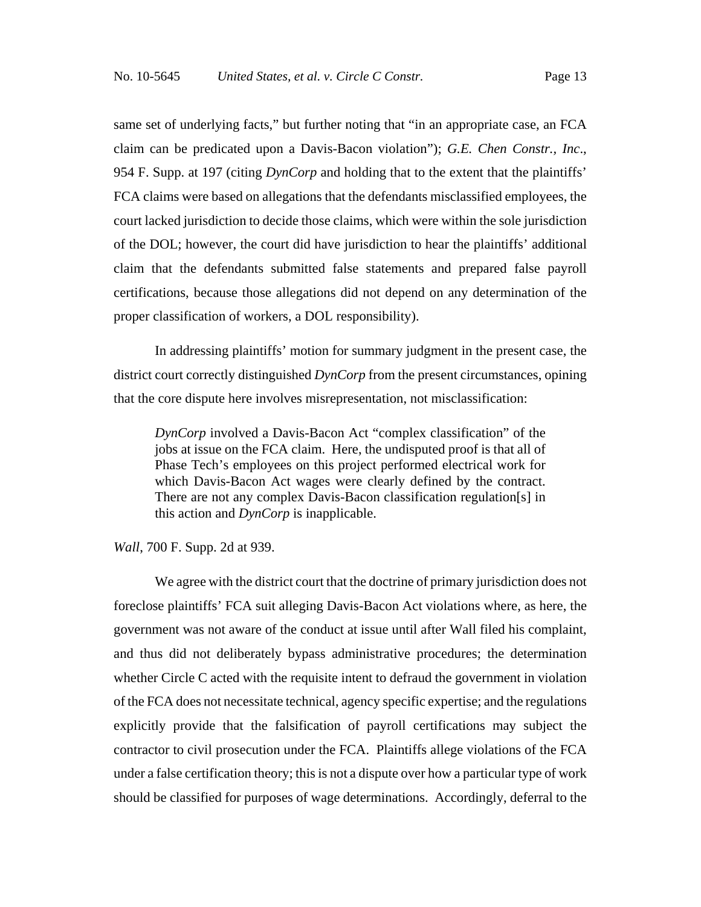same set of underlying facts," but further noting that "in an appropriate case, an FCA claim can be predicated upon a Davis-Bacon violation"); *G.E. Chen Constr., Inc*., 954 F. Supp. at 197 (citing *DynCorp* and holding that to the extent that the plaintiffs' FCA claims were based on allegations that the defendants misclassified employees, the court lacked jurisdiction to decide those claims, which were within the sole jurisdiction of the DOL; however, the court did have jurisdiction to hear the plaintiffs' additional claim that the defendants submitted false statements and prepared false payroll certifications, because those allegations did not depend on any determination of the proper classification of workers, a DOL responsibility).

In addressing plaintiffs' motion for summary judgment in the present case, the district court correctly distinguished *DynCorp* from the present circumstances, opining that the core dispute here involves misrepresentation, not misclassification:

*DynCorp* involved a Davis-Bacon Act "complex classification" of the jobs at issue on the FCA claim. Here, the undisputed proof is that all of Phase Tech's employees on this project performed electrical work for which Davis-Bacon Act wages were clearly defined by the contract. There are not any complex Davis-Bacon classification regulation[s] in this action and *DynCorp* is inapplicable.

*Wall*, 700 F. Supp. 2d at 939.

We agree with the district court that the doctrine of primary jurisdiction does not foreclose plaintiffs' FCA suit alleging Davis-Bacon Act violations where, as here, the government was not aware of the conduct at issue until after Wall filed his complaint, and thus did not deliberately bypass administrative procedures; the determination whether Circle C acted with the requisite intent to defraud the government in violation of the FCA does not necessitate technical, agency specific expertise; and the regulations explicitly provide that the falsification of payroll certifications may subject the contractor to civil prosecution under the FCA. Plaintiffs allege violations of the FCA under a false certification theory; this is not a dispute over how a particular type of work should be classified for purposes of wage determinations. Accordingly, deferral to the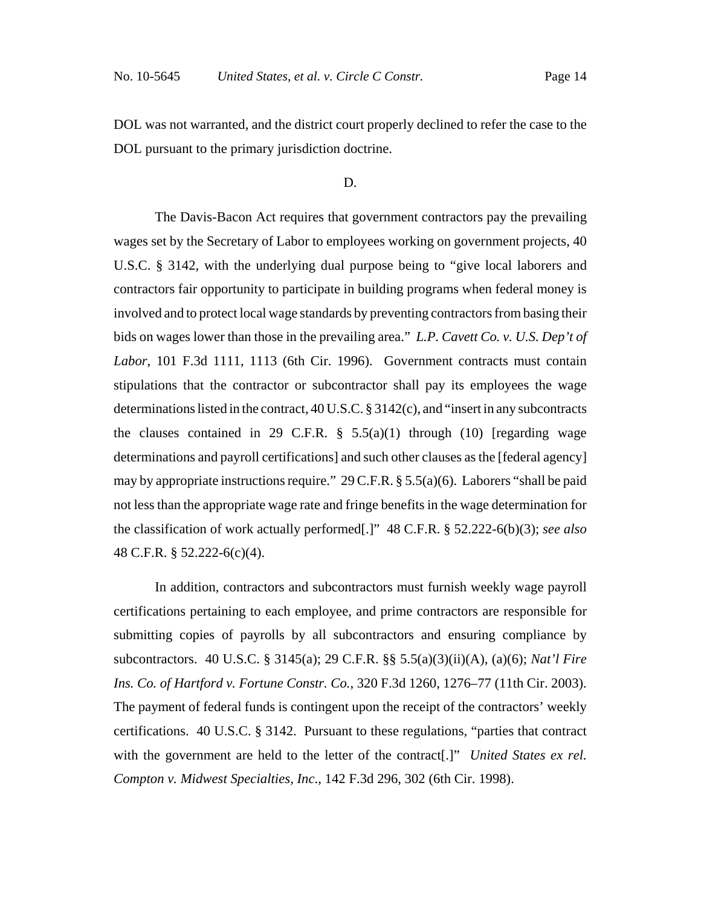DOL was not warranted, and the district court properly declined to refer the case to the DOL pursuant to the primary jurisdiction doctrine.

## D.

The Davis-Bacon Act requires that government contractors pay the prevailing wages set by the Secretary of Labor to employees working on government projects, 40 U.S.C. § 3142, with the underlying dual purpose being to "give local laborers and contractors fair opportunity to participate in building programs when federal money is involved and to protect local wage standards by preventing contractors from basing their bids on wages lower than those in the prevailing area." *L.P. Cavett Co. v. U.S. Dep't of Labor*, 101 F.3d 1111, 1113 (6th Cir. 1996). Government contracts must contain stipulations that the contractor or subcontractor shall pay its employees the wage determinations listed in the contract, 40 U.S.C. § 3142(c), and "insert in any subcontracts the clauses contained in 29 C.F.R.  $\S$  5.5(a)(1) through (10) [regarding wage determinations and payroll certifications] and such other clauses as the [federal agency] may by appropriate instructions require." 29 C.F.R. § 5.5(a)(6). Laborers "shall be paid not less than the appropriate wage rate and fringe benefits in the wage determination for the classification of work actually performed[.]" 48 C.F.R. § 52.222-6(b)(3); *see also* 48 C.F.R. § 52.222-6(c)(4).

In addition, contractors and subcontractors must furnish weekly wage payroll certifications pertaining to each employee, and prime contractors are responsible for submitting copies of payrolls by all subcontractors and ensuring compliance by subcontractors. 40 U.S.C. § 3145(a); 29 C.F.R. §§ 5.5(a)(3)(ii)(A), (a)(6); *Nat'l Fire Ins. Co. of Hartford v. Fortune Constr. Co.*, 320 F.3d 1260, 1276–77 (11th Cir. 2003). The payment of federal funds is contingent upon the receipt of the contractors' weekly certifications. 40 U.S.C. § 3142. Pursuant to these regulations, "parties that contract with the government are held to the letter of the contract[.]" *United States ex rel. Compton v. Midwest Specialties, Inc*., 142 F.3d 296, 302 (6th Cir. 1998).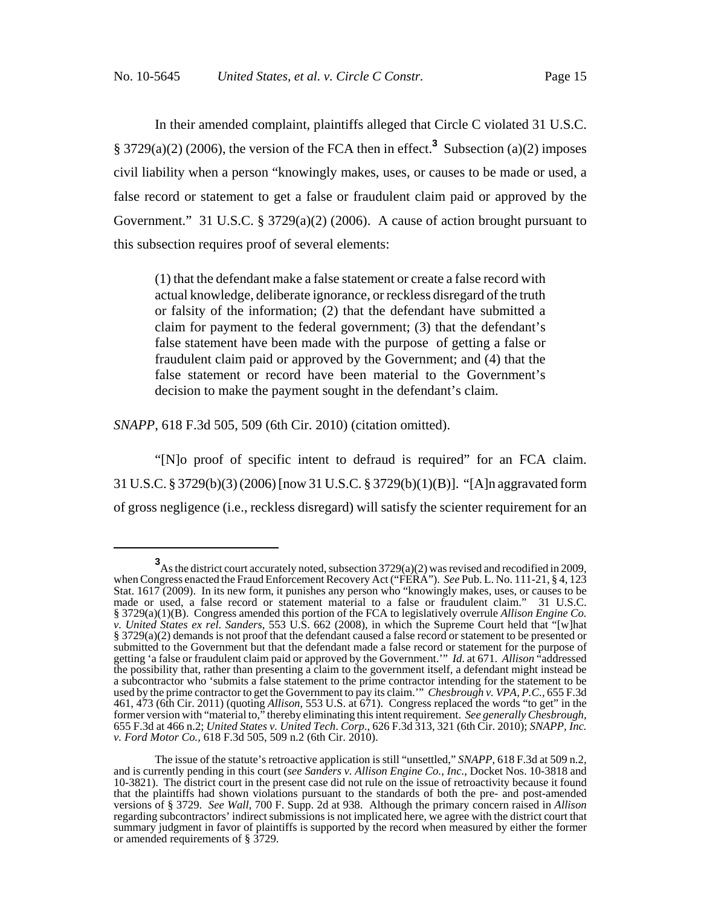In their amended complaint, plaintiffs alleged that Circle C violated 31 U.S.C.  $\S$  3729(a)(2) (2006), the version of the FCA then in effect.<sup>3</sup> Subsection (a)(2) imposes civil liability when a person "knowingly makes, uses, or causes to be made or used, a false record or statement to get a false or fraudulent claim paid or approved by the Government." 31 U.S.C. § 3729(a)(2) (2006). A cause of action brought pursuant to this subsection requires proof of several elements:

(1) that the defendant make a false statement or create a false record with actual knowledge, deliberate ignorance, or reckless disregard of the truth or falsity of the information; (2) that the defendant have submitted a claim for payment to the federal government; (3) that the defendant's false statement have been made with the purpose of getting a false or fraudulent claim paid or approved by the Government; and (4) that the false statement or record have been material to the Government's decision to make the payment sought in the defendant's claim.

*SNAPP*, 618 F.3d 505, 509 (6th Cir. 2010) (citation omitted).

"[N]o proof of specific intent to defraud is required" for an FCA claim. 31 U.S.C. § 3729(b)(3) (2006) [now 31 U.S.C. § 3729(b)(1)(B)]. "[A]n aggravated form of gross negligence (i.e., reckless disregard) will satisfy the scienter requirement for an

**<sup>3</sup>** As the district court accurately noted, subsection 3729(a)(2) was revised and recodified in 2009, when Congress enacted the Fraud Enforcement Recovery Act ("FERA"). *See* Pub. L. No. 111-21, § 4, 123 Stat. 1617 (2009). In its new form, it punishes any person who "knowingly makes, uses, or causes to be made or used, a false record or statement material to a false or fraudulent claim." 31 U.S.C. § 3729(a)(1)(B). Congress amended this portion of the FCA to legislatively overrule *Allison Engine Co. v. United States ex rel. Sanders*, 553 U.S. 662 (2008), in which the Supreme Court held that "[w]hat § 3729(a)(2) demands is not proof that the defendant caused a false record or statement to be presented or submitted to the Government but that the defendant made a false record or statement for the purpose of getting 'a false or fraudulent claim paid or approved by the Government.'" *Id*. at 671. *Allison* "addressed the possibility that, rather than presenting a claim to the government itself, a defendant might instead be a subcontractor who 'submits a false statement to the prime contractor intending for the statement to be used by the prime contractor to get the Government to pay its claim.'" *Chesbrough v. VPA, P.C.,* 655 F.3d 461, 473 (6th Cir. 2011) (quoting *Allison*, 553 U.S. at 671). Congress replaced the words "to get" in the former version with "material to," thereby eliminating this intent requirement. *See generally Chesbrough*,<br>655 F.3d at 466 n.2; *United States v. United Tech. Corp.*, 626 F.3d 313, 321 (6th Cir. 2010); *SNAPP, Inc. v. Ford Motor Co.*, 618 F.3d 505, 509 n.2 (6th Cir. 2010).

The issue of the statute's retroactive application is still "unsettled," *SNAPP*, 618 F.3d at 509 n.2, and is currently pending in this court (*see Sanders v. Allison Engine Co., Inc.*, Docket Nos. 10-3818 and 10-3821). The district court in the present case did not rule on the issue of retroactivity because it found that the plaintiffs had shown violations pursuant to the standards of both the pre- and post-amended versions of § 3729. *See Wall*, 700 F. Supp. 2d at 938. Although the primary concern raised in *Allison* regarding subcontractors' indirect submissions is not implicated here, we agree with the district court that summary judgment in favor of plaintiffs is supported by the record when measured by either the former or amended requirements of § 3729.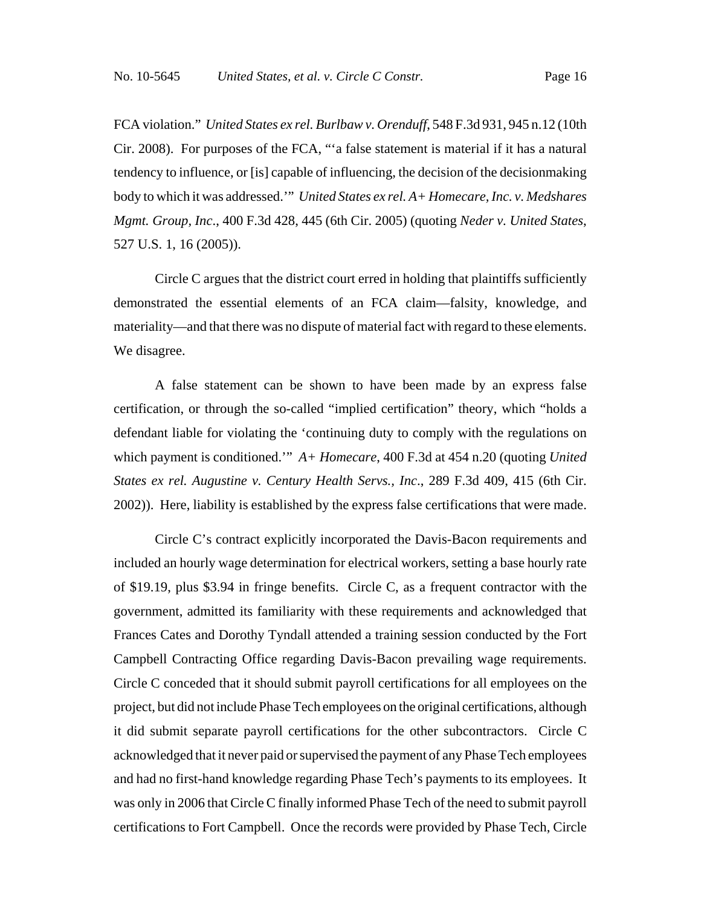FCA violation." *United States ex rel. Burlbaw v. Orenduff*, 548 F.3d 931, 945 n.12 (10th Cir. 2008). For purposes of the FCA, "'a false statement is material if it has a natural tendency to influence, or [is] capable of influencing, the decision of the decisionmaking body to which it was addressed.'" *United States ex rel. A+ Homecare, Inc. v. Medshares Mgmt. Group, Inc*., 400 F.3d 428, 445 (6th Cir. 2005) (quoting *Neder v. United States*, 527 U.S. 1, 16 (2005)).

Circle C argues that the district court erred in holding that plaintiffs sufficiently demonstrated the essential elements of an FCA claim—falsity, knowledge, and materiality—and that there was no dispute of material fact with regard to these elements. We disagree.

A false statement can be shown to have been made by an express false certification, or through the so-called "implied certification" theory, which "holds a defendant liable for violating the 'continuing duty to comply with the regulations on which payment is conditioned.'" *A+ Homecare*, 400 F.3d at 454 n.20 (quoting *United States ex rel. Augustine v. Century Health Servs., Inc*., 289 F.3d 409, 415 (6th Cir. 2002)). Here, liability is established by the express false certifications that were made.

Circle C's contract explicitly incorporated the Davis-Bacon requirements and included an hourly wage determination for electrical workers, setting a base hourly rate of \$19.19, plus \$3.94 in fringe benefits. Circle C, as a frequent contractor with the government, admitted its familiarity with these requirements and acknowledged that Frances Cates and Dorothy Tyndall attended a training session conducted by the Fort Campbell Contracting Office regarding Davis-Bacon prevailing wage requirements. Circle C conceded that it should submit payroll certifications for all employees on the project, but did not include Phase Tech employees on the original certifications, although it did submit separate payroll certifications for the other subcontractors. Circle C acknowledged that it never paid or supervised the payment of any Phase Tech employees and had no first-hand knowledge regarding Phase Tech's payments to its employees. It was only in 2006 that Circle C finally informed Phase Tech of the need to submit payroll certifications to Fort Campbell. Once the records were provided by Phase Tech, Circle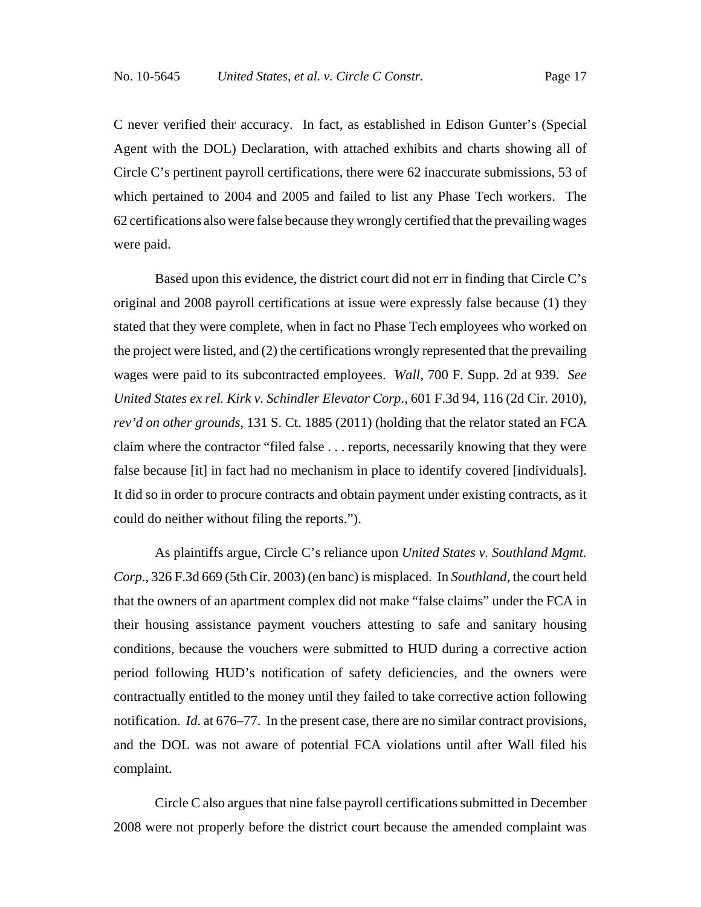C never verified their accuracy. In fact, as established in Edison Gunter's (Special Agent with the DOL) Declaration, with attached exhibits and charts showing all of Circle C's pertinent payroll certifications, there were 62 inaccurate submissions, 53 of which pertained to 2004 and 2005 and failed to list any Phase Tech workers. The 62 certifications also were false because they wrongly certified that the prevailing wages were paid.

Based upon this evidence, the district court did not err in finding that Circle C's original and 2008 payroll certifications at issue were expressly false because (1) they stated that they were complete, when in fact no Phase Tech employees who worked on the project were listed, and (2) the certifications wrongly represented that the prevailing wages were paid to its subcontracted employees. *Wall*, 700 F. Supp. 2d at 939. *See United States ex rel. Kirk v. Schindler Elevator Corp*., 601 F.3d 94, 116 (2d Cir. 2010), *rev'd on other grounds*, 131 S. Ct. 1885 (2011) (holding that the relator stated an FCA claim where the contractor "filed false . . . reports, necessarily knowing that they were false because [it] in fact had no mechanism in place to identify covered [individuals]. It did so in order to procure contracts and obtain payment under existing contracts, as it could do neither without filing the reports.").

As plaintiffs argue, Circle C's reliance upon *United States v. Southland Mgmt. Corp*., 326 F.3d 669 (5th Cir. 2003) (en banc) is misplaced. In *Southland*, the court held that the owners of an apartment complex did not make "false claims" under the FCA in their housing assistance payment vouchers attesting to safe and sanitary housing conditions, because the vouchers were submitted to HUD during a corrective action period following HUD's notification of safety deficiencies, and the owners were contractually entitled to the money until they failed to take corrective action following notification. *Id*. at 676–77. In the present case, there are no similar contract provisions, and the DOL was not aware of potential FCA violations until after Wall filed his complaint.

Circle C also argues that nine false payroll certifications submitted in December 2008 were not properly before the district court because the amended complaint was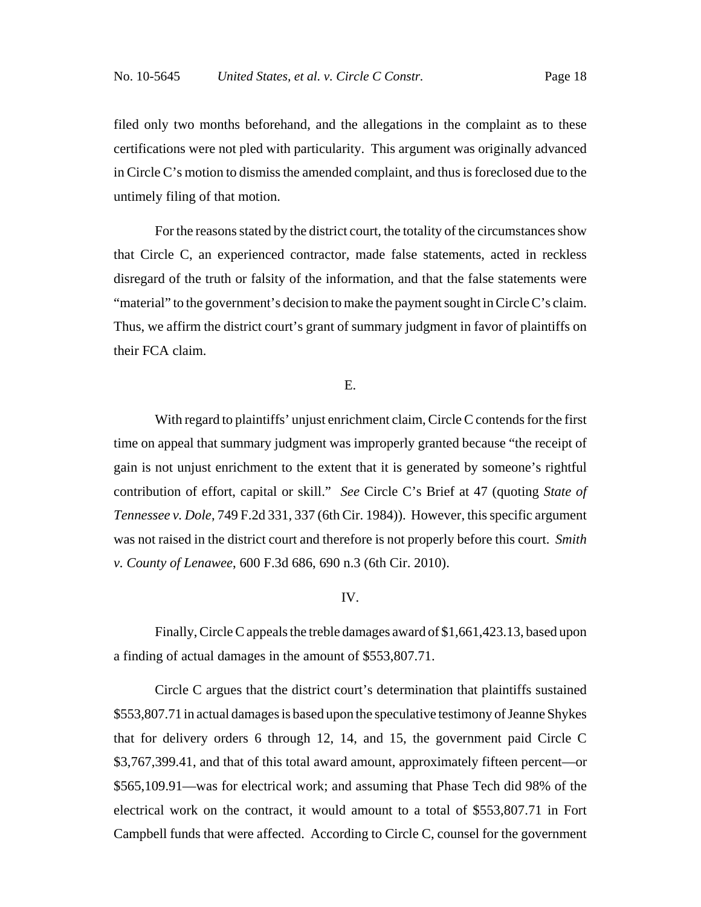filed only two months beforehand, and the allegations in the complaint as to these certifications were not pled with particularity. This argument was originally advanced in Circle C's motion to dismiss the amended complaint, and thus is foreclosed due to the untimely filing of that motion.

For the reasons stated by the district court, the totality of the circumstances show that Circle C, an experienced contractor, made false statements, acted in reckless disregard of the truth or falsity of the information, and that the false statements were "material" to the government's decision to make the payment sought in Circle C's claim. Thus, we affirm the district court's grant of summary judgment in favor of plaintiffs on their FCA claim.

E.

With regard to plaintiffs' unjust enrichment claim, Circle C contends for the first time on appeal that summary judgment was improperly granted because "the receipt of gain is not unjust enrichment to the extent that it is generated by someone's rightful contribution of effort, capital or skill." *See* Circle C's Brief at 47 (quoting *State of Tennessee v. Dole*, 749 F.2d 331, 337 (6th Cir. 1984)). However, this specific argument was not raised in the district court and therefore is not properly before this court. *Smith v. County of Lenawee*, 600 F.3d 686, 690 n.3 (6th Cir. 2010).

## IV.

Finally, Circle C appeals the treble damages award of \$1,661,423.13, based upon a finding of actual damages in the amount of \$553,807.71.

Circle C argues that the district court's determination that plaintiffs sustained \$553,807.71 in actual damages is based upon the speculative testimony of Jeanne Shykes that for delivery orders 6 through 12, 14, and 15, the government paid Circle C \$3,767,399.41, and that of this total award amount, approximately fifteen percent—or \$565,109.91—was for electrical work; and assuming that Phase Tech did 98% of the electrical work on the contract, it would amount to a total of \$553,807.71 in Fort Campbell funds that were affected. According to Circle C, counsel for the government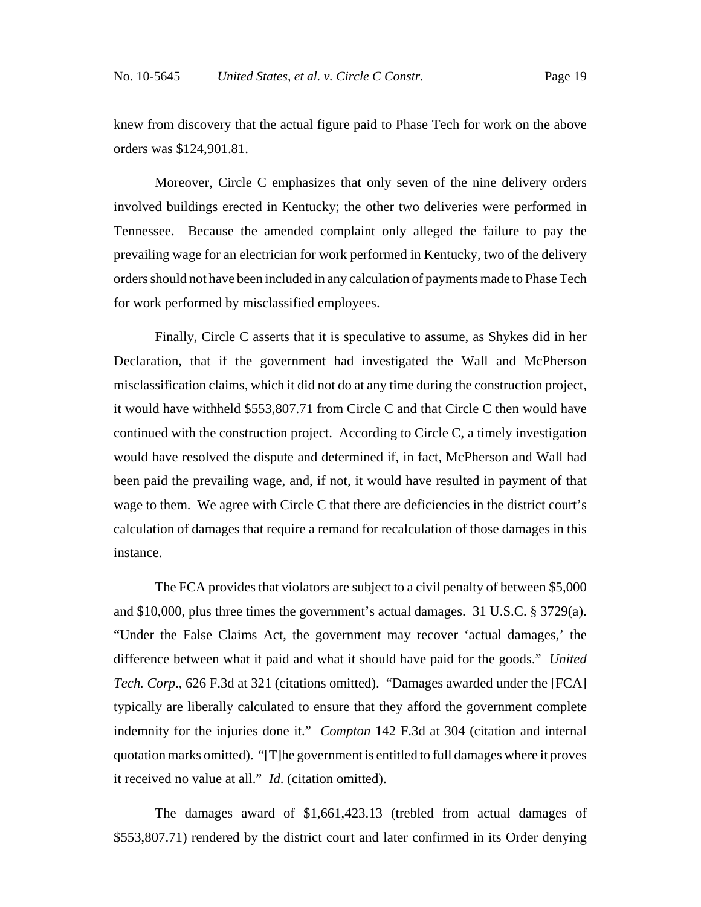knew from discovery that the actual figure paid to Phase Tech for work on the above orders was \$124,901.81.

Moreover, Circle C emphasizes that only seven of the nine delivery orders involved buildings erected in Kentucky; the other two deliveries were performed in Tennessee. Because the amended complaint only alleged the failure to pay the prevailing wage for an electrician for work performed in Kentucky, two of the delivery orders should not have been included in any calculation of payments made to Phase Tech for work performed by misclassified employees.

Finally, Circle C asserts that it is speculative to assume, as Shykes did in her Declaration, that if the government had investigated the Wall and McPherson misclassification claims, which it did not do at any time during the construction project, it would have withheld \$553,807.71 from Circle C and that Circle C then would have continued with the construction project. According to Circle C, a timely investigation would have resolved the dispute and determined if, in fact, McPherson and Wall had been paid the prevailing wage, and, if not, it would have resulted in payment of that wage to them. We agree with Circle C that there are deficiencies in the district court's calculation of damages that require a remand for recalculation of those damages in this instance.

The FCA provides that violators are subject to a civil penalty of between \$5,000 and \$10,000, plus three times the government's actual damages. 31 U.S.C. § 3729(a). "Under the False Claims Act, the government may recover 'actual damages,' the difference between what it paid and what it should have paid for the goods." *United Tech. Corp*., 626 F.3d at 321 (citations omitted). "Damages awarded under the [FCA] typically are liberally calculated to ensure that they afford the government complete indemnity for the injuries done it." *Compton* 142 F.3d at 304 (citation and internal quotation marks omitted). "[T]he government is entitled to full damages where it proves it received no value at all." *Id*. (citation omitted).

The damages award of \$1,661,423.13 (trebled from actual damages of \$553,807.71) rendered by the district court and later confirmed in its Order denying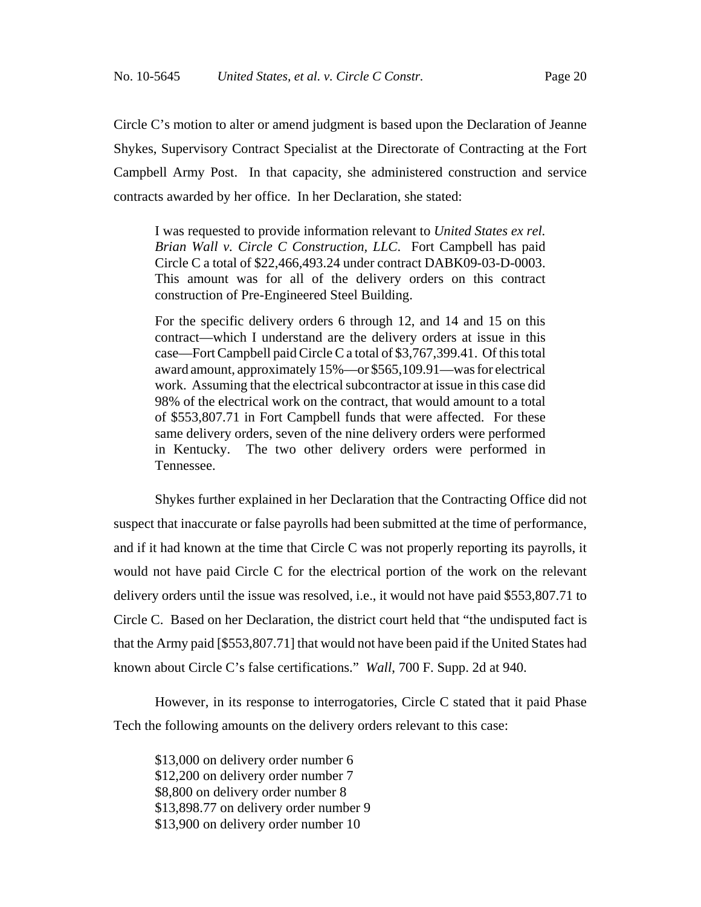Circle C's motion to alter or amend judgment is based upon the Declaration of Jeanne Shykes, Supervisory Contract Specialist at the Directorate of Contracting at the Fort Campbell Army Post. In that capacity, she administered construction and service contracts awarded by her office. In her Declaration, she stated:

I was requested to provide information relevant to *United States ex rel. Brian Wall v. Circle C Construction, LLC*. Fort Campbell has paid Circle C a total of \$22,466,493.24 under contract DABK09-03-D-0003. This amount was for all of the delivery orders on this contract construction of Pre-Engineered Steel Building.

For the specific delivery orders 6 through 12, and 14 and 15 on this contract—which I understand are the delivery orders at issue in this case—Fort Campbell paid Circle C a total of \$3,767,399.41. Of this total award amount, approximately 15%—or \$565,109.91—was for electrical work. Assuming that the electrical subcontractor at issue in this case did 98% of the electrical work on the contract, that would amount to a total of \$553,807.71 in Fort Campbell funds that were affected. For these same delivery orders, seven of the nine delivery orders were performed in Kentucky. The two other delivery orders were performed in Tennessee.

Shykes further explained in her Declaration that the Contracting Office did not suspect that inaccurate or false payrolls had been submitted at the time of performance, and if it had known at the time that Circle C was not properly reporting its payrolls, it would not have paid Circle C for the electrical portion of the work on the relevant delivery orders until the issue was resolved, i.e., it would not have paid \$553,807.71 to Circle C. Based on her Declaration, the district court held that "the undisputed fact is that the Army paid [\$553,807.71] that would not have been paid if the United States had known about Circle C's false certifications." *Wall*, 700 F. Supp. 2d at 940.

However, in its response to interrogatories, Circle C stated that it paid Phase Tech the following amounts on the delivery orders relevant to this case:

\$13,000 on delivery order number 6 \$12,200 on delivery order number 7 \$8,800 on delivery order number 8 \$13,898.77 on delivery order number 9 \$13,900 on delivery order number 10